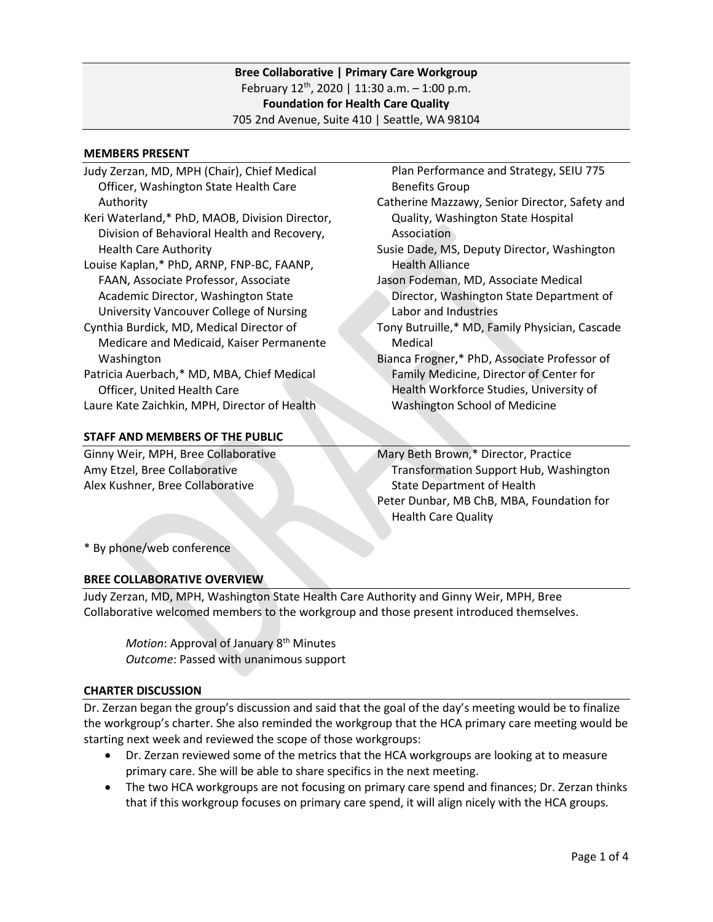# **Bree Collaborative | Primary Care Workgroup** February  $12^{th}$ , 2020 | 11:30 a.m. - 1:00 p.m. **Foundation for Health Care Quality** 705 2nd Avenue, Suite 410 | Seattle, WA 98104

### **MEMBERS PRESENT**

| Judy Zerzan, MD, MPH (Chair), Chief Medical    |
|------------------------------------------------|
| Officer, Washington State Health Care          |
| Authority                                      |
| Keri Waterland,* PhD, MAOB, Division Director, |
| Division of Behavioral Health and Recovery,    |
| <b>Health Care Authority</b>                   |
| Louise Kaplan,* PhD, ARNP, FNP-BC, FAANP,      |
| FAAN, Associate Professor, Associate           |
| Academic Director, Washington State            |
| University Vancouver College of Nursing        |
| Cynthia Burdick, MD, Medical Director of       |
| Medicare and Medicaid, Kaiser Permanente       |
| Washington                                     |
| Patricia Auerbach,* MD, MBA, Chief Medical     |
| Officer, United Health Care                    |
| Laure Kate Zaichkin, MPH, Director of Health   |
|                                                |

### **STAFF AND MEMBERS OF THE PUBLIC**

Ginny Weir, MPH, Bree Collaborative Amy Etzel, Bree Collaborative Alex Kushner, Bree Collaborative

 Plan Performance and Strategy, SEIU 775 Benefits Group

- Catherine Mazzawy, Senior Director, Safety and Quality, Washington State Hospital Association
- Susie Dade, MS, Deputy Director, Washington Health Alliance
- Jason Fodeman, MD, Associate Medical Director, Washington State Department of Labor and Industries
- Tony Butruille,\* MD, Family Physician, Cascade Medical
- Bianca Frogner,\* PhD, Associate Professor of Family Medicine, Director of Center for Health Workforce Studies, University of Washington School of Medicine

Mary Beth Brown,\* Director, Practice Transformation Support Hub, Washington State Department of Health Peter Dunbar, MB ChB, MBA, Foundation for Health Care Quality

## \* By phone/web conference

## **BREE COLLABORATIVE OVERVIEW**

Judy Zerzan, MD, MPH, Washington State Health Care Authority and Ginny Weir, MPH, Bree Collaborative welcomed members to the workgroup and those present introduced themselves.

*Motion*: Approval of January 8<sup>th</sup> Minutes *Outcome*: Passed with unanimous support

### **CHARTER DISCUSSION**

Dr. Zerzan began the group's discussion and said that the goal of the day's meeting would be to finalize the workgroup's charter. She also reminded the workgroup that the HCA primary care meeting would be starting next week and reviewed the scope of those workgroups:

- Dr. Zerzan reviewed some of the metrics that the HCA workgroups are looking at to measure primary care. She will be able to share specifics in the next meeting.
- The two HCA workgroups are not focusing on primary care spend and finances; Dr. Zerzan thinks that if this workgroup focuses on primary care spend, it will align nicely with the HCA groups.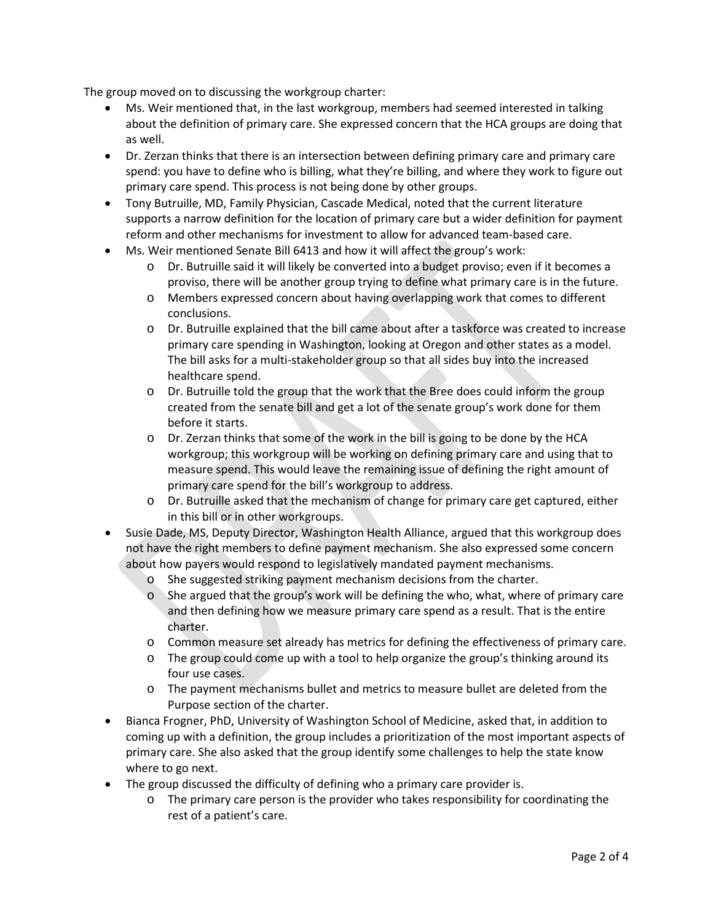The group moved on to discussing the workgroup charter:

- Ms. Weir mentioned that, in the last workgroup, members had seemed interested in talking about the definition of primary care. She expressed concern that the HCA groups are doing that as well.
- Dr. Zerzan thinks that there is an intersection between defining primary care and primary care spend: you have to define who is billing, what they're billing, and where they work to figure out primary care spend. This process is not being done by other groups.
- Tony Butruille, MD, Family Physician, Cascade Medical, noted that the current literature supports a narrow definition for the location of primary care but a wider definition for payment reform and other mechanisms for investment to allow for advanced team-based care.
- Ms. Weir mentioned Senate Bill 6413 and how it will affect the group's work:
	- o Dr. Butruille said it will likely be converted into a budget proviso; even if it becomes a proviso, there will be another group trying to define what primary care is in the future.
	- o Members expressed concern about having overlapping work that comes to different conclusions.
	- o Dr. Butruille explained that the bill came about after a taskforce was created to increase primary care spending in Washington, looking at Oregon and other states as a model. The bill asks for a multi-stakeholder group so that all sides buy into the increased healthcare spend.
	- $\circ$  Dr. Butruille told the group that the work that the Bree does could inform the group created from the senate bill and get a lot of the senate group's work done for them before it starts.
	- o Dr. Zerzan thinks that some of the work in the bill is going to be done by the HCA workgroup; this workgroup will be working on defining primary care and using that to measure spend. This would leave the remaining issue of defining the right amount of primary care spend for the bill's workgroup to address.
	- o Dr. Butruille asked that the mechanism of change for primary care get captured, either in this bill or in other workgroups.
- Susie Dade, MS, Deputy Director, Washington Health Alliance, argued that this workgroup does not have the right members to define payment mechanism. She also expressed some concern about how payers would respond to legislatively mandated payment mechanisms.
	- o She suggested striking payment mechanism decisions from the charter.
	- o She argued that the group's work will be defining the who, what, where of primary care and then defining how we measure primary care spend as a result. That is the entire charter.
	- o Common measure set already has metrics for defining the effectiveness of primary care.
	- o The group could come up with a tool to help organize the group's thinking around its four use cases.
	- o The payment mechanisms bullet and metrics to measure bullet are deleted from the Purpose section of the charter.
- Bianca Frogner, PhD, University of Washington School of Medicine, asked that, in addition to coming up with a definition, the group includes a prioritization of the most important aspects of primary care. She also asked that the group identify some challenges to help the state know where to go next.
- The group discussed the difficulty of defining who a primary care provider is.
	- o The primary care person is the provider who takes responsibility for coordinating the rest of a patient's care.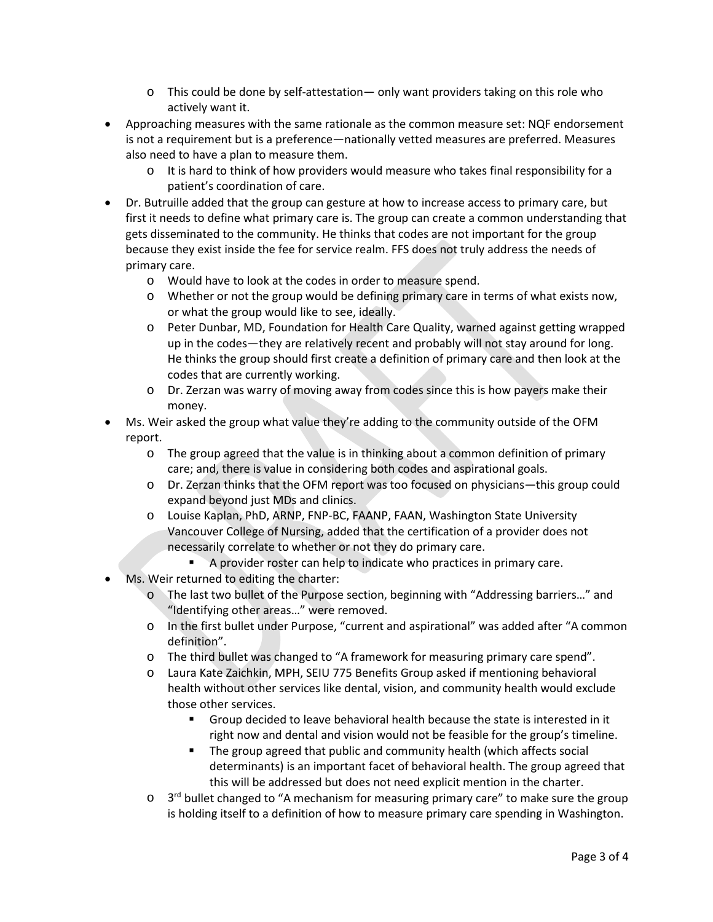- o This could be done by self-attestation— only want providers taking on this role who actively want it.
- Approaching measures with the same rationale as the common measure set: NQF endorsement is not a requirement but is a preference—nationally vetted measures are preferred. Measures also need to have a plan to measure them.
	- $\circ$  It is hard to think of how providers would measure who takes final responsibility for a patient's coordination of care.
- Dr. Butruille added that the group can gesture at how to increase access to primary care, but first it needs to define what primary care is. The group can create a common understanding that gets disseminated to the community. He thinks that codes are not important for the group because they exist inside the fee for service realm. FFS does not truly address the needs of primary care.
	- o Would have to look at the codes in order to measure spend.
	- o Whether or not the group would be defining primary care in terms of what exists now, or what the group would like to see, ideally.
	- o Peter Dunbar, MD, Foundation for Health Care Quality, warned against getting wrapped up in the codes—they are relatively recent and probably will not stay around for long. He thinks the group should first create a definition of primary care and then look at the codes that are currently working.
	- o Dr. Zerzan was warry of moving away from codes since this is how payers make their money.
- Ms. Weir asked the group what value they're adding to the community outside of the OFM report.
	- o The group agreed that the value is in thinking about a common definition of primary care; and, there is value in considering both codes and aspirational goals.
	- o Dr. Zerzan thinks that the OFM report was too focused on physicians—this group could expand beyond just MDs and clinics.
	- o Louise Kaplan, PhD, ARNP, FNP-BC, FAANP, FAAN, Washington State University Vancouver College of Nursing, added that the certification of a provider does not necessarily correlate to whether or not they do primary care.
		- A provider roster can help to indicate who practices in primary care.
- Ms. Weir returned to editing the charter:
	- o The last two bullet of the Purpose section, beginning with "Addressing barriers…" and "Identifying other areas…" were removed.
	- o In the first bullet under Purpose, "current and aspirational" was added after "A common definition".
	- o The third bullet was changed to "A framework for measuring primary care spend".
	- o Laura Kate Zaichkin, MPH, SEIU 775 Benefits Group asked if mentioning behavioral health without other services like dental, vision, and community health would exclude those other services.
		- Group decided to leave behavioral health because the state is interested in it right now and dental and vision would not be feasible for the group's timeline.
		- The group agreed that public and community health (which affects social determinants) is an important facet of behavioral health. The group agreed that this will be addressed but does not need explicit mention in the charter.
	- $o$  3<sup>rd</sup> bullet changed to "A mechanism for measuring primary care" to make sure the group is holding itself to a definition of how to measure primary care spending in Washington.